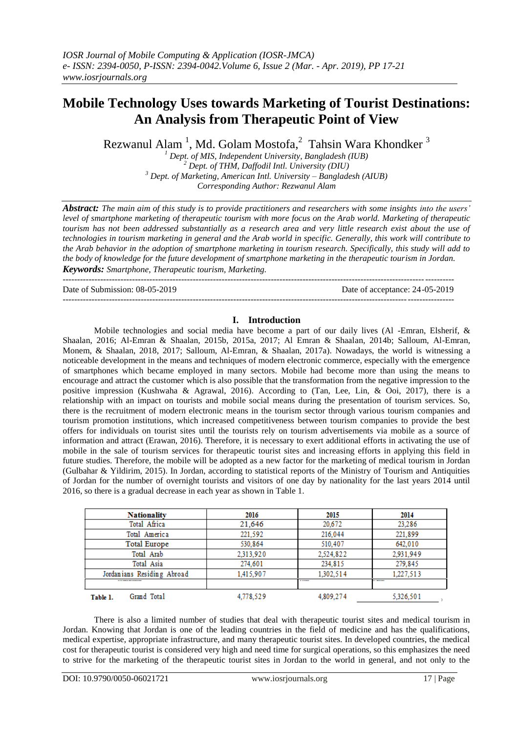# **Mobile Technology Uses towards Marketing of Tourist Destinations: An Analysis from Therapeutic Point of View**

Rezwanul Alam  $^1$ , Md. Golam Mostofa, $^2$  Tahsin Wara Khondker  $^3$ 

 *Dept. of MIS, Independent University, Bangladesh (IUB) Dept. of THM, Daffodil Intl. University (DIU) Dept. of Marketing, American Intl. University – Bangladesh (AIUB) Corresponding Author: Rezwanul Alam*

*Abstract: The main aim of this study is to provide practitioners and researchers with some insights into the users' level of smartphone marketing of therapeutic tourism with more focus on the Arab world. Marketing of therapeutic tourism has not been addressed substantially as a research area and very little research exist about the use of technologies in tourism marketing in general and the Arab world in specific. Generally, this work will contribute to the Arab behavior in the adoption of smartphone marketing in tourism research. Specifically, this study will add to the body of knowledge for the future development of smartphone marketing in the therapeutic tourism in Jordan. Keywords: Smartphone, Therapeutic tourism, Marketing.*

--------------------------------------------------------------------------------------------------------------------------------------- Date of Submission: 08-05-2019 Date of acceptance: 24-05-2019 ---------------------------------------------------------------------------------------------------------------------------------------

### **I. Introduction**

Mobile technologies and social media have become a part of our daily lives (Al -Emran, Elsherif, & Shaalan, 2016; Al-Emran & Shaalan, 2015b, 2015a, 2017; Al Emran & Shaalan, 2014b; Salloum, Al-Emran, Monem, & Shaalan, 2018, 2017; Salloum, Al-Emran, & Shaalan, 2017a). Nowadays, the world is witnessing a noticeable development in the means and techniques of modern electronic commerce, especially with the emergence of smartphones which became employed in many sectors. Mobile had become more than using the means to encourage and attract the customer which is also possible that the transformation from the negative impression to the positive impression (Kushwaha & Agrawal, 2016). According to (Tan, Lee, Lin, & Ooi, 2017), there is a relationship with an impact on tourists and mobile social means during the presentation of tourism services. So, there is the recruitment of modern electronic means in the tourism sector through various tourism companies and tourism promotion institutions, which increased competitiveness between tourism companies to provide the best offers for individuals on tourist sites until the tourists rely on tourism advertisements via mobile as a source of information and attract (Erawan, 2016). Therefore, it is necessary to exert additional efforts in activating the use of mobile in the sale of tourism services for therapeutic tourist sites and increasing efforts in applying this field in future studies. Therefore, the mobile will be adopted as a new factor for the marketing of medical tourism in Jordan (Gulbahar & Yildirim, 2015). In Jordan, according to statistical reports of the Ministry of Tourism and Antiquities of Jordan for the number of overnight tourists and visitors of one day by nationality for the last years 2014 until 2016, so there is a gradual decrease in each year as shown in Table 1.

| <b>Nationality</b>         | 2016      | 2015      | 2014      |
|----------------------------|-----------|-----------|-----------|
| Total Africa               | 21,646    | 20.672    | 23.286    |
| Total America              | 221,592   | 216.044   | 221,899   |
| <b>Total Europe</b>        | 530,864   | 510,407   | 642,010   |
| Total Arab                 | 2,313,920 | 2.524.822 | 2,931,949 |
| Total Asia                 | 274,601   | 234,815   | 279,845   |
| Jordanians Residing Abroad | 1,415,907 | 1.302.514 | 1.227.513 |
| ------------               |           | ------    | .         |
| Grand Total<br>Table 1.    | 4,778,529 | 4,809,274 | 5,326,501 |

There is also a limited number of studies that deal with therapeutic tourist sites and medical tourism in Jordan. Knowing that Jordan is one of the leading countries in the field of medicine and has the qualifications, medical expertise, appropriate infrastructure, and many therapeutic tourist sites. In developed countries, the medical cost for therapeutic tourist is considered very high and need time for surgical operations, so this emphasizes the need to strive for the marketing of the therapeutic tourist sites in Jordan to the world in general, and not only to the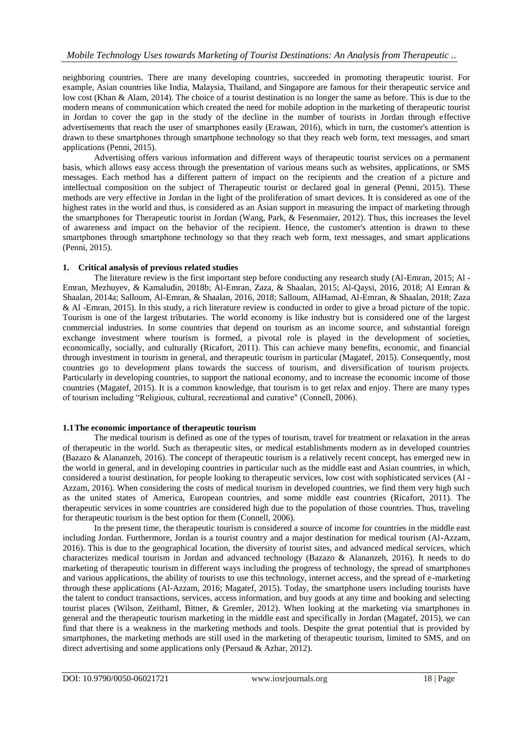neighboring countries. There are many developing countries, succeeded in promoting therapeutic tourist. For example, Asian countries like India, Malaysia, Thailand, and Singapore are famous for their therapeutic service and low cost (Khan & Alam, 2014). The choice of a tourist destination is no longer the same as before. This is due to the modern means of communication which created the need for mobile adoption in the marketing of therapeutic tourist in Jordan to cover the gap in the study of the decline in the number of tourists in Jordan through effective advertisements that reach the user of smartphones easily (Erawan, 2016), which in turn, the customer's attention is drawn to these smartphones through smartphone technology so that they reach web form, text messages, and smart applications (Penni, 2015).

Advertising offers various information and different ways of therapeutic tourist services on a permanent basis, which allows easy access through the presentation of various means such as websites, applications, or SMS messages. Each method has a different pattern of impact on the recipients and the creation of a picture and intellectual composition on the subject of Therapeutic tourist or declared goal in general (Penni, 2015). These methods are very effective in Jordan in the light of the proliferation of smart devices. It is considered as one of the highest rates in the world and thus, is considered as an Asian support in measuring the impact of marketing through the smartphones for Therapeutic tourist in Jordan (Wang, Park, & Fesenmaier, 2012). Thus, this increases the level of awareness and impact on the behavior of the recipient. Hence, the customer's attention is drawn to these smartphones through smartphone technology so that they reach web form, text messages, and smart applications (Penni, 2015).

# **1. Critical analysis of previous related studies**

The literature review is the first important step before conducting any research study (Al-Emran, 2015; Al - Emran, Mezhuyev, & Kamaludin, 2018b; Al-Emran, Zaza, & Shaalan, 2015; Al-Qaysi, 2016, 2018; Al Emran & Shaalan, 2014a; Salloum, Al-Emran, & Shaalan, 2016, 2018; Salloum, AlHamad, Al-Emran, & Shaalan, 2018; Zaza & Al -Emran, 2015). In this study, a rich literature review is conducted in order to give a broad picture of the topic. Tourism is one of the largest tributaries. The world economy is like industry but is considered one of the largest commercial industries. In some countries that depend on tourism as an income source, and substantial foreign exchange investment where tourism is formed, a pivotal role is played in the development of societies, economically, socially, and culturally (Ricafort, 2011). This can achieve many benefits, economic, and financial through investment in tourism in general, and therapeutic tourism in particular (Magatef, 2015). Consequently, most countries go to development plans towards the success of tourism, and diversification of tourism projects. Particularly in developing countries, to support the national economy, and to increase the economic income of those countries (Magatef, 2015). It is a common knowledge, that tourism is to get relax and enjoy. There are many types of tourism including "Religious, cultural, recreational and curative" (Connell, 2006).

# **1.1The economic importance of therapeutic tourism**

The medical tourism is defined as one of the types of tourism, travel for treatment or relaxation in the areas of therapeutic in the world. Such as therapeutic sites, or medical establishments modern as in developed countries (Bazazo & Alananzeh, 2016). The concept of therapeutic tourism is a relatively recent concept, has emerged new in the world in general, and in developing countries in particular such as the middle east and Asian countries, in which, considered a tourist destination, for people looking to therapeutic services, low cost with sophisticated services (Al - Azzam, 2016). When considering the costs of medical tourism in developed countries, we find them very high such as the united states of America, European countries, and some middle east countries (Ricafort, 2011). The therapeutic services in some countries are considered high due to the population of those countries. Thus, traveling for therapeutic tourism is the best option for them (Connell, 2006).

In the present time, the therapeutic tourism is considered a source of income for countries in the middle east including Jordan. Furthermore, Jordan is a tourist country and a major destination for medical tourism (Al-Azzam, 2016). This is due to the geographical location, the diversity of tourist sites, and advanced medical services, which characterizes medical tourism in Jordan and advanced technology (Bazazo & Alananzeh, 2016). It needs to do marketing of therapeutic tourism in different ways including the progress of technology, the spread of smartphones and various applications, the ability of tourists to use this technology, internet access, and the spread of e-marketing through these applications (Al-Azzam, 2016; Magatef, 2015). Today, the smartphone users including tourists have the talent to conduct transactions, services, access information, and buy goods at any time and booking and selecting tourist places (Wilson, Zeithaml, Bitner, & Gremler, 2012). When looking at the marketing via smartphones in general and the therapeutic tourism marketing in the middle east and specifically in Jordan (Magatef, 2015), we can find that there is a weakness in the marketing methods and tools. Despite the great potential that is provided by smartphones, the marketing methods are still used in the marketing of therapeutic tourism, limited to SMS, and on direct advertising and some applications only (Persaud & Azhar, 2012).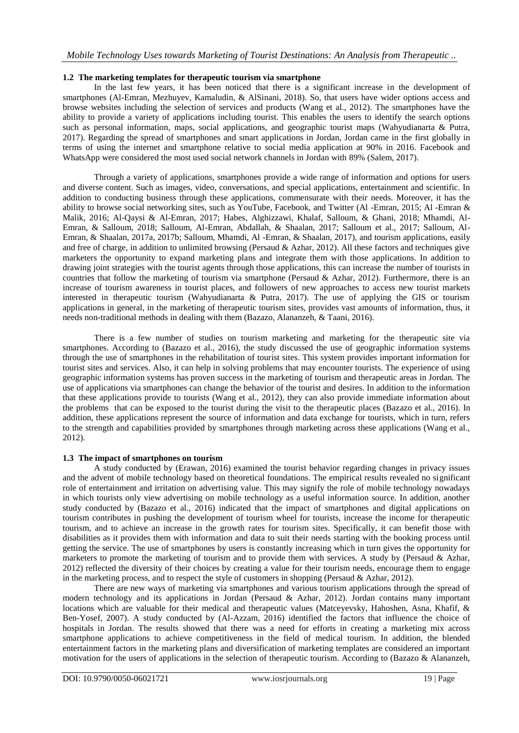## **1.2 The marketing templates for therapeutic tourism via smartphone**

In the last few years, it has been noticed that there is a significant increase in the development of smartphones (Al-Emran, Mezhuyev, Kamaludin, & AlSinani, 2018). So, that users have wider options access and browse websites including the selection of services and products (Wang et al., 2012). The smartphones have the ability to provide a variety of applications including tourist. This enables the users to identify the search options such as personal information, maps, social applications, and geographic tourist maps (Wahyudianarta & Putra, 2017). Regarding the spread of smartphones and smart applications in Jordan, Jordan came in the first globally in terms of using the internet and smartphone relative to social media application at 90% in 2016. Facebook and WhatsApp were considered the most used social network channels in Jordan with 89% (Salem, 2017).

Through a variety of applications, smartphones provide a wide range of information and options for users and diverse content. Such as images, video, conversations, and special applications, entertainment and scientific. In addition to conducting business through these applications, commensurate with their needs. Moreover, it has the ability to browse social networking sites, such as YouTube, Facebook, and Twitter (Al -Emran, 2015; Al -Emran & Malik, 2016; Al-Qaysi & Al-Emran, 2017; Habes, Alghizzawi, Khalaf, Salloum, & Ghani, 2018; Mhamdi, Al-Emran, & Salloum, 2018; Salloum, Al-Emran, Abdallah, & Shaalan, 2017; Salloum et al., 2017; Salloum, Al-Emran, & Shaalan, 2017a, 2017b; Salloum, Mhamdi, Al -Emran, & Shaalan, 2017), and tourism applications, easily and free of charge, in addition to unlimited browsing (Persaud & Azhar, 2012). All these factors and techniques give marketers the opportunity to expand marketing plans and integrate them with those applications. In addition to drawing joint strategies with the tourist agents through those applications, this can increase the number of tourists in countries that follow the marketing of tourism via smartphone (Persaud & Azhar, 2012). Furthermore, there is an increase of tourism awareness in tourist places, and followers of new approaches to access new tourist markets interested in therapeutic tourism (Wahyudianarta & Putra, 2017). The use of applying the GIS or tourism applications in general, in the marketing of therapeutic tourism sites, provides vast amounts of information, thus, it needs non-traditional methods in dealing with them (Bazazo, Alananzeh, & Taani, 2016).

There is a few number of studies on tourism marketing and marketing for the therapeutic site via smartphones. According to (Bazazo et al., 2016), the study discussed the use of geographic information systems through the use of smartphones in the rehabilitation of tourist sites. This system provides important information for tourist sites and services. Also, it can help in solving problems that may encounter tourists. The experience of using geographic information systems has proven success in the marketing of tourism and therapeutic areas in Jordan. The use of applications via smartphones can change the behavior of the tourist and desires. In addition to the information that these applications provide to tourists (Wang et al., 2012), they can also provide immediate information about the problems that can be exposed to the tourist during the visit to the therapeutic places (Bazazo et al., 2016). In addition, these applications represent the source of information and data exchange for tourists, which in turn, refers to the strength and capabilities provided by smartphones through marketing across these applications (Wang et al., 2012).

## **1.3 The impact of smartphones on tourism**

A study conducted by (Erawan, 2016) examined the tourist behavior regarding changes in privacy issues and the advent of mobile technology based on theoretical foundations. The empirical results revealed no significant role of entertainment and irritation on advertising value. This may signify the role of mobile technology nowadays in which tourists only view advertising on mobile technology as a useful information source. In addition, another study conducted by (Bazazo et al., 2016) indicated that the impact of smartphones and digital applications on tourism contributes in pushing the development of tourism wheel for tourists, increase the income for therapeutic tourism, and to achieve an increase in the growth rates for tourism sites. Specifically, it can benefit those with disabilities as it provides them with information and data to suit their needs starting with the booking process until getting the service. The use of smartphones by users is constantly increasing which in turn gives the opportunity for marketers to promote the marketing of tourism and to provide them with services. A study by (Persaud  $\&$  Azhar, 2012) reflected the diversity of their choices by creating a value for their tourism needs, encourage them to engage in the marketing process, and to respect the style of customers in shopping (Persaud & Azhar, 2012).

There are new ways of marketing via smartphones and various tourism applications through the spread of modern technology and its applications in Jordan (Persaud & Azhar, 2012). Jordan contains many important locations which are valuable for their medical and therapeutic values (Matceyevsky, Hahoshen, Asna, Khafif, & Ben-Yosef, 2007). A study conducted by (Al-Azzam, 2016) identified the factors that influence the choice of hospitals in Jordan. The results showed that there was a need for efforts in creating a marketing mix across smartphone applications to achieve competitiveness in the field of medical tourism. In addition, the blended entertainment factors in the marketing plans and diversification of marketing templates are considered an important motivation for the users of applications in the selection of therapeutic tourism. According to (Bazazo & Alananzeh,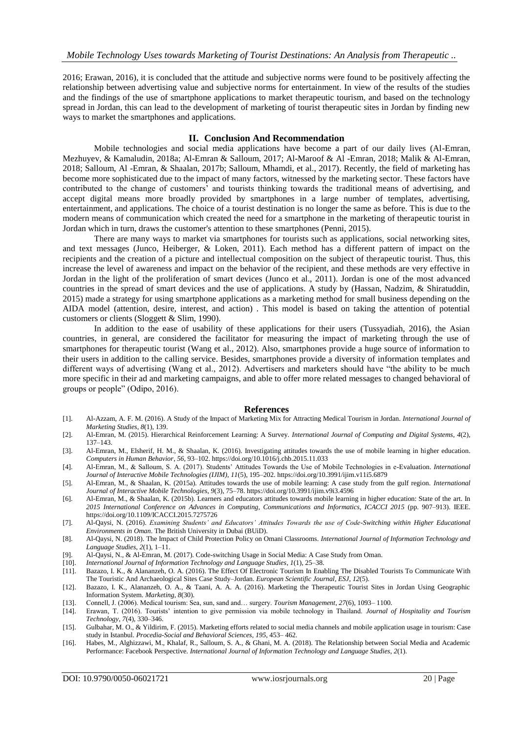2016; Erawan, 2016), it is concluded that the attitude and subjective norms were found to be positively affecting the relationship between advertising value and subjective norms for entertainment. In view of the results of the studies and the findings of the use of smartphone applications to market therapeutic tourism, and based on the technology spread in Jordan, this can lead to the development of marketing of tourist therapeutic sites in Jordan by finding new ways to market the smartphones and applications.

#### **II. Conclusion And Recommendation**

Mobile technologies and social media applications have become a part of our daily lives (Al-Emran, Mezhuyev, & Kamaludin, 2018a; Al-Emran & Salloum, 2017; Al-Maroof & Al -Emran, 2018; Malik & Al-Emran, 2018; Salloum, Al -Emran, & Shaalan, 2017b; Salloum, Mhamdi, et al., 2017). Recently, the field of marketing has become more sophisticated due to the impact of many factors, witnessed by the marketing sector. These factors have contributed to the change of customers' and tourists thinking towards the traditional means of advertising, and accept digital means more broadly provided by smartphones in a large number of templates, advertising, entertainment, and applications. The choice of a tourist destination is no longer the same as before. This is due to the modern means of communication which created the need for a smartphone in the marketing of therapeutic tourist in Jordan which in turn, draws the customer's attention to these smartphones (Penni, 2015).

There are many ways to market via smartphones for tourists such as applications, social networking sites, and text messages (Junco, Heiberger, & Loken, 2011). Each method has a different pattern of impact on the recipients and the creation of a picture and intellectual composition on the subject of therapeutic tourist. Thus, this increase the level of awareness and impact on the behavior of the recipient, and these methods are very effective in Jordan in the light of the proliferation of smart devices (Junco et al., 2011). Jordan is one of the most advanced countries in the spread of smart devices and the use of applications. A study by (Hassan, Nadzim, & Shiratuddin, 2015) made a strategy for using smartphone applications as a marketing method for small business depending on the AIDA model (attention, desire, interest, and action) . This model is based on taking the attention of potential customers or clients (Sloggett & Slim, 1990).

In addition to the ease of usability of these applications for their users (Tussyadiah, 2016), the Asian countries, in general, are considered the facilitator for measuring the impact of marketing through the use of smartphones for therapeutic tourist (Wang et al., 2012). Also, smartphones provide a huge source of information to their users in addition to the calling service. Besides, smartphones provide a diversity of information templates and different ways of advertising (Wang et al., 2012). Advertisers and marketers should have "the ability to be much more specific in their ad and marketing campaigns, and able to offer more related messages to changed behavioral of groups or people" (Odipo, 2016).

#### **References**

- [1]. Al-Azzam, A. F. M. (2016). A Study of the Impact of Marketing Mix for Attracting Medical Tourism in Jordan. *International Journal of Marketing Studies*, *8*(1), 139.
- [2]. Al-Emran, M. (2015). Hierarchical Reinforcement Learning: A Survey. *International Journal of Computing and Digital Systems*, *4*(2), 137–143.
- [3]. Al-Emran, M., Elsherif, H. M., & Shaalan, K. (2016). Investigating attitudes towards the use of mobile learning in higher education. *Computers in Human Behavior*, *56*, 93–102. https://doi.org/10.1016/j.chb.2015.11.033
- [4]. Al-Emran, M., & Salloum, S. A. (2017). Students' Attitudes Towards the Use of Mobile Technologies in e-Evaluation. *International Journal of Interactive Mobile Technologies (IJIM)*, *11*(5), 195–202. https://doi.org/10.3991/ijim.v11i5.6879
- [5]. Al-Emran, M., & Shaalan, K. (2015a). Attitudes towards the use of mobile learning: A case study from the gulf region. *International Journal of Interactive Mobile Technologies*, *9*(3), 75–78. https://doi.org/10.3991/ijim.v9i3.4596
- [6]. Al-Emran, M., & Shaalan, K. (2015b). Learners and educators attitudes towards mobile learning in higher education: State of the art. In *2015 International Conference on Advances in Computing, Communications and Informatics, ICACCI 2015* (pp. 907–913). IEEE. https://doi.org/10.1109/ICACCI.2015.7275726
- [7]. Al-Qaysi, N. (2016). *Examining Students' and Educators' Attitudes Towards the use of Code-Switching within Higher Educational Environments in Oman*. The British University in Dubai (BUiD).
- [8]. Al-Qaysi, N. (2018). The Impact of Child Protection Policy on Omani Classrooms. *International Journal of Information Technology and Language Studies*, *2*(1), 1–11.
- [9]. Al-Qaysi, N., & Al-Emran, M. (2017). Code-switching Usage in Social Media: A Case Study from Oman. [10]. *International Journal of Information Technology and Language Studies, 1*(1), 25–38.
- [10]. *International Journal of Information Technology and Language Studies*, *1*(1), 25–38.
- [11]. Bazazo, I. K., & Alananzeh, O. A. (2016). The Effect Of Electronic Tourism In Enabling The Disabled Tourists To Communicate With The Touristic And Archaeological Sites Case Study–Jordan. *European Scientific Journal, ESJ*, *12*(5).
- [12]. Bazazo, I. K., Alananzeh, O. A., & Taani, A. A. A. (2016). Marketing the Therapeutic Tourist Sites in Jordan Using Geographic Information System. *Marketing*, *8*(30).
- [13]. Connell, J. (2006). Medical tourism: Sea, sun, sand and… surgery. *Tourism Management*, *27*(6), 1093– 1100.
- [14]. Erawan, T. (2016). Tourists' intention to give permission via mobile technology in Thailand. *Journal of Hospitality and Tourism Technology*, *7*(4), 330–346.
- [15]. Gulbahar, M. O., & Yildirim, F. (2015). Marketing efforts related to social media channels and mobile application usage in tourism: Case study in Istanbul. *Procedia-Social and Behavioral Sciences*, *195*, 453– 462.
- [16]. Habes, M., Alghizzawi, M., Khalaf, R., Salloum, S. A., & Ghani, M. A. (2018). The Relationship between Social Media and Academic Performance: Facebook Perspective. *International Journal of Information Technology and Language Studies*, *2*(1).